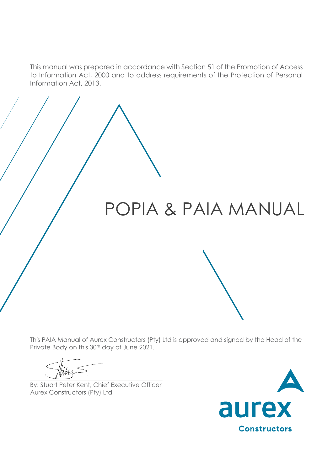This manual was prepared in accordance with Section 51 of the Promotion of Access to Information Act, 2000 and to address requirements of the Protection of Personal Information Act, 2013.

# POPIA & PAIA MANUAL

This PAIA Manual of Aurex Constructors (Pty) Ltd is approved and signed by the Head of the Private Body on this 30<sup>th</sup> day of June 2021.

 $\frac{1}{2}$ 

By: Stuart Peter Kent, Chief Executive Officer Aurex Constructors (Pty) Ltd

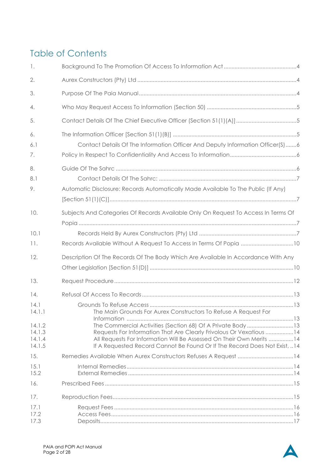## Table of Contents

| 1.                                                            |                                                                                                                                                                                                                                                                                                                                                            |
|---------------------------------------------------------------|------------------------------------------------------------------------------------------------------------------------------------------------------------------------------------------------------------------------------------------------------------------------------------------------------------------------------------------------------------|
| 2.                                                            |                                                                                                                                                                                                                                                                                                                                                            |
| 3.                                                            |                                                                                                                                                                                                                                                                                                                                                            |
| 4.                                                            |                                                                                                                                                                                                                                                                                                                                                            |
| 5.                                                            |                                                                                                                                                                                                                                                                                                                                                            |
| 6.<br>6.1<br>7.                                               | Contact Details Of The Information Officer And Deputy Information Officer(S)6                                                                                                                                                                                                                                                                              |
| 8.<br>8.1<br>9.                                               | Automatic Disclosure: Records Automatically Made Available To The Public (If Any)                                                                                                                                                                                                                                                                          |
| 10.                                                           | Subjects And Categories Of Records Available Only On Request To Access In Terms Of                                                                                                                                                                                                                                                                         |
| 10.1<br>11.                                                   | Records Available Without A Request To Access In Terms Of Popia 10                                                                                                                                                                                                                                                                                         |
| 12.                                                           | Description Of The Records Of The Body Which Are Available In Accordance With Any                                                                                                                                                                                                                                                                          |
| 13.                                                           |                                                                                                                                                                                                                                                                                                                                                            |
| 14.<br>14.1<br>14.1.1<br>14.1.2<br>14.1.3<br>14.1.4<br>14.1.5 | The Main Grounds For Aurex Constructors To Refuse A Request For<br>The Commercial Activities (Section 68) Of A Private Body13<br>Requests For Information That Are Clearly Frivolous Or Vexatious 14<br>All Requests For Information Will Be Assessed On Their Own Merits  14<br>If A Requested Record Cannot Be Found Or If The Record Does Not Exist, 14 |
| 15.                                                           | Remedies Available When Aurex Constructors Refuses A Request 14                                                                                                                                                                                                                                                                                            |
| 15.1<br>15.2                                                  |                                                                                                                                                                                                                                                                                                                                                            |
| 16.                                                           |                                                                                                                                                                                                                                                                                                                                                            |
| 17.                                                           |                                                                                                                                                                                                                                                                                                                                                            |
| 17.1<br>17.2<br>17.3                                          |                                                                                                                                                                                                                                                                                                                                                            |

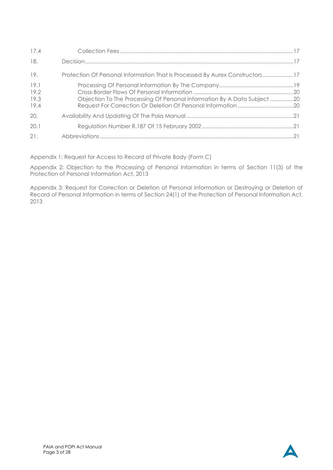| 17.4                         |                                                                              |
|------------------------------|------------------------------------------------------------------------------|
| 18.                          |                                                                              |
| 19.                          | Protection Of Personal Information That Is Processed By Aurex Constructors17 |
| 19.1<br>19.2<br>19.3<br>19.4 | Objection To The Processing Of Personal Information By A Data Subject 20     |
| 20.                          |                                                                              |
| 20.1                         |                                                                              |
| 21.                          |                                                                              |

Appendix 1: Request for Access to Record of Private Body (Form C)

Appendix 2: Objection to the Processing of Personal Information in terms of Section 11(3) of the Protection of Personal Information Act, 2013

Appendix 3: Request for Correction or Deletion of Personal Information or Destroying or Deletion of Record of Personal Information in terms of Section 24(1) of the Protection of Personal Information Act, 2013

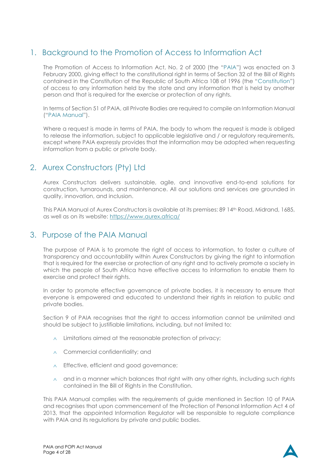### <span id="page-3-0"></span>1. Background to the Promotion of Access to Information Act

The Promotion of Access to Information Act, No. 2 of 2000 (the "PAIA") was enacted on 3 February 2000, giving effect to the constitutional right in terms of Section 32 of the Bill of Rights contained in the Constitution of the Republic of South Africa 108 of 1996 (the "Constitution") of access to any information held by the state and any information that is held by another person and that is required for the exercise or protection of any rights.

In terms of Section 51 of PAIA, all Private Bodies are required to compile an Information Manual ("PAIA Manual").

Where a request is made in terms of PAIA, the body to whom the request is made is obliged to release the information, subject to applicable legislative and / or regulatory requirements, except where PAIA expressly provides that the information may be adopted when requesting information from a public or private body.

### <span id="page-3-1"></span>2. Aurex Constructors (Pty) Ltd

Aurex Constructors delivers sustainable, agile, and innovative end-to-end solutions for construction, turnarounds, and maintenance. All our solutions and services are grounded in quality, innovation, and inclusion.

This PAIA Manual of Aurex Constructors is available at its premises: 89 14th Road, Midrand, 1685, as well as on its website: <https://www.aurex.africa/>

### <span id="page-3-2"></span>3. Purpose of the PAIA Manual

The purpose of PAIA is to promote the right of access to information, to foster a culture of transparency and accountability within Aurex Constructors by giving the right to information that is required for the exercise or protection of any right and to actively promote a society in which the people of South Africa have effective access to information to enable them to exercise and protect their rights.

In order to promote effective governance of private bodies, it is necessary to ensure that everyone is empowered and educated to understand their rights in relation to public and private bodies.

Section 9 of PAIA recognises that the right to access information cannot be unlimited and should be subject to justifiable limitations, including, but not limited to:

- $\land$  Limitations aimed at the reasonable protection of privacy;
- $\land$  Commercial confidentiality; and
- $\wedge$  Effective, efficient and good governance;
- $\land$  and in a manner which balances that right with any other rights, including such rights contained in the Bill of Rights in the Constitution.

This PAIA Manual complies with the requirements of guide mentioned in Section 10 of PAIA and recognises that upon commencement of the Protection of Personal Information Act 4 of 2013, that the appointed Information Regulator will be responsible to regulate compliance with PAIA and its regulations by private and public bodies.

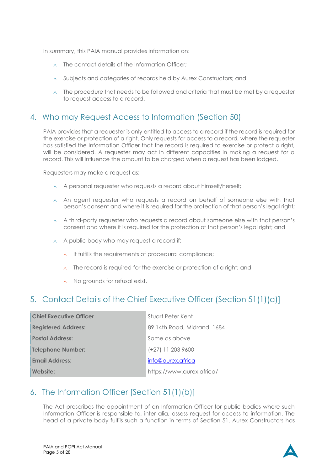In summary, this PAIA manual provides information on:

- $\land$  The contact details of the Information Officer:
- $\land$  Subjects and categories of records held by Aurex Constructors; and
- $\land$  The procedure that needs to be followed and criteria that must be met by a requester to request access to a record.

### <span id="page-4-0"></span>4. Who may Request Access to Information (Section 50)

PAIA provides that a requester is only entitled to access to a record if the record is required for the exercise or protection of a right. Only requests for access to a record, where the requester has satisfied the Information Officer that the record is required to exercise or protect a right, will be considered. A requester may act in different capacities in making a request for a record. This will influence the amount to be charged when a request has been lodged.

Requesters may make a request as:

- A personal requester who requests a record about himself/herself;
- $\wedge$  An agent requester who requests a record on behalf of someone else with that person's consent and where it is required for the protection of that person's legal right;
- $\land$  A third-party requester who requests a record about someone else with that person's consent and where it is required for the protection of that person's legal right; and
- $\land$  A public body who may request a record if:
	- $\land$  It fulfills the requirements of procedural compliance;
	- $\land$  The record is required for the exercise or protection of a right; and
	- $\wedge$  No grounds for refusal exist.

### <span id="page-4-1"></span>5. Contact Details of the Chief Executive Officer (Section 51(1)(a)]

| <b>Chief Executive Officer</b> | Stuart Peter Kent           |
|--------------------------------|-----------------------------|
| <b>Registered Address:</b>     | 89 14th Road, Midrand, 1684 |
| <b>Postal Address:</b>         | Same as above               |
| <b>Telephone Number:</b>       | $(+27)$ 11 203 9600         |
| <b>Email Address:</b>          | info@aurex.africa           |
| Website:                       | https://www.aurex.africa/   |

### <span id="page-4-2"></span>6. The Information Officer [Section 51(1)(b)]

The Act prescribes the appointment of an Information Officer for public bodies where such Information Officer is responsible to, inter alia, assess request for access to information. The head of a private body fulfils such a function in terms of Section 51. Aurex Constructors has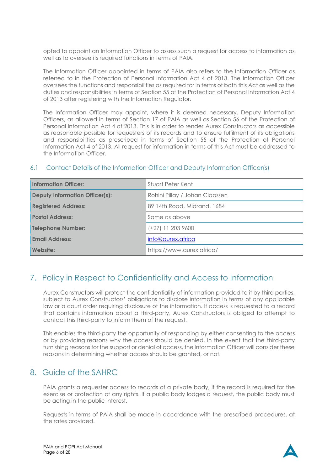opted to appoint an Information Officer to assess such a request for access to information as well as to oversee its required functions in terms of PAIA.

The Information Officer appointed in terms of PAIA also refers to the Information Officer as referred to in the Protection of Personal Information Act 4 of 2013. The Information Officer oversees the functions and responsibilities as required for in terms of both this Act as well as the duties and responsibilities in terms of Section 55 of the Protection of Personal Information Act 4 of 2013 after registering with the Information Regulator.

The Information Officer may appoint, where it is deemed necessary, Deputy Information Officers, as allowed in terms of Section 17 of PAIA as well as Section 56 of the Protection of Personal Information Act 4 of 2013. This is in order to render Aurex Constructors as accessible as reasonable possible for requesters of its records and to ensure fulfilment of its obligations and responsibilities as prescribed in terms of Section 55 of the Protection of Personal Information Act 4 of 2013. All request for information in terms of this Act must be addressed to the Information Officer.

| <b>Information Officer:</b>           | Stuart Peter Kent              |
|---------------------------------------|--------------------------------|
| <b>Deputy Information Officer(s):</b> | Rohini Pillay / Johan Claassen |
| <b>Registered Address:</b>            | 89 14th Road, Midrand, 1684    |
| <b>Postal Address:</b>                | Same as above                  |
| <b>Telephone Number:</b>              | (+27) 11 203 9600              |
| <b>Email Address:</b>                 | info@aurex.africa              |
| Website:                              | https://www.aurex.africa/      |

### <span id="page-5-0"></span>6.1 Contact Details of the Information Officer and Deputy Information Officer(s)

### <span id="page-5-1"></span>7. Policy in Respect to Confidentiality and Access to Information

Aurex Constructors will protect the confidentiality of information provided to it by third parties, subject to Aurex Constructors' obligations to disclose information in terms of any applicable law or a court order requiring disclosure of the information. If access is requested to a record that contains information about a third-party, Aurex Constructors is obliged to attempt to contact this third-party to inform them of the request.

This enables the third-party the opportunity of responding by either consenting to the access or by providing reasons why the access should be denied. In the event that the third-party furnishing reasons for the support or denial of access, the Information Officer will consider these reasons in determining whether access should be granted, or not.

### <span id="page-5-2"></span>8. Guide of the SAHRC

PAIA grants a requester access to records of a private body, if the record is required for the exercise or protection of any rights. If a public body lodges a request, the public body must be acting in the public interest.

Requests in terms of PAIA shall be made in accordance with the prescribed procedures, at the rates provided.

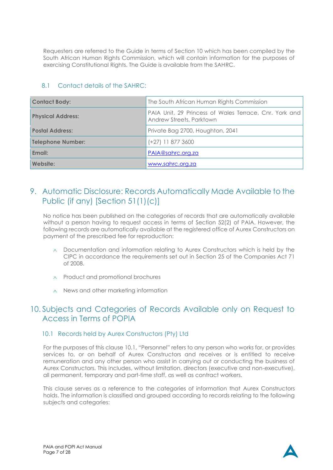Requesters are referred to the Guide in terms of Section 10 which has been compiled by the South African Human Rights Commission, which will contain information for the purposes of exercising Constitutional Rights. The Guide is available from the SAHRC.

| <b>Contact Body:</b>     | The South African Human Rights Commission                                          |
|--------------------------|------------------------------------------------------------------------------------|
| <b>Physical Address:</b> | PAIA Unit, 29 Princess of Wales Terrace, Cnr. York and<br>Andrew Streets, Parktown |
| <b>Postal Address:</b>   | Private Bag 2700, Houghton, 2041                                                   |
| <b>Telephone Number:</b> | $(+27)$ 11 877 3600                                                                |
| Email:                   | PAIA@sahrc.org.za                                                                  |
| Website:                 | www.sahrc.org.za                                                                   |

#### <span id="page-6-0"></span>8.1 Contact details of the SAHRC:

### <span id="page-6-1"></span>9. Automatic Disclosure: Records Automatically Made Available to the Public (if any) [Section 51(1)(c)]

No notice has been published on the categories of records that are automatically available without a person having to request access in terms of Section 52(2) of PAIA. However, the following records are automatically available at the registered office of Aurex Constructors on payment of the prescribed fee for reproduction:

- $\land$  Documentation and information relating to Aurex Constructors which is held by the CIPC in accordance the requirements set out in Section 25 of the Companies Act 71 of 2008.
- $\land$  Product and promotional brochures
- $\land$  News and other marketing information

### <span id="page-6-2"></span>10. Subjects and Categories of Records Available only on Request to Access in Terms of POPIA

#### <span id="page-6-3"></span>10.1 Records held by Aurex Constructors (Pty) Ltd

For the purposes of this clause [10.1](#page-6-3), "Personnel" refers to any person who works for, or provides services to, or on behalf of Aurex Constructors and receives or is entitled to receive remuneration and any other person who assist in carrying out or conducting the business of Aurex Constructors. This includes, without limitation, directors (executive and non-executive), all permanent, temporary and part-time staff, as well as contract workers.

This clause serves as a reference to the categories of information that Aurex Constructors holds. The information is classified and grouped according to records relating to the following subjects and categories:

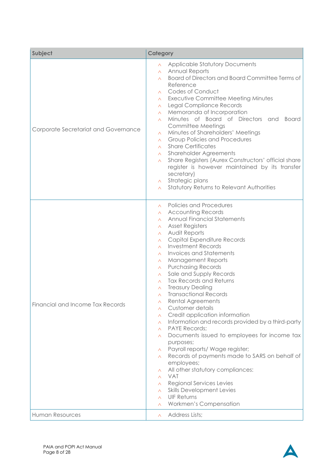| Subject                              | Category                                                                                                                                                                                                                                                                                                                                                                                                                                                                                                                                                                                                                                                                                                                                                                                                                                                                                                                                                                                                                                                                                                                                                                                                          |
|--------------------------------------|-------------------------------------------------------------------------------------------------------------------------------------------------------------------------------------------------------------------------------------------------------------------------------------------------------------------------------------------------------------------------------------------------------------------------------------------------------------------------------------------------------------------------------------------------------------------------------------------------------------------------------------------------------------------------------------------------------------------------------------------------------------------------------------------------------------------------------------------------------------------------------------------------------------------------------------------------------------------------------------------------------------------------------------------------------------------------------------------------------------------------------------------------------------------------------------------------------------------|
| Corporate Secretariat and Governance | <b>Applicable Statutory Documents</b><br>$\wedge$<br>Annual Reports<br>$\wedge$<br>Board of Directors and Board Committee Terms of<br>$\wedge$<br>Reference<br>Codes of Conduct<br>$\wedge$<br><b>Executive Committee Meeting Minutes</b><br>$\wedge$<br>Legal Compliance Records<br>$\wedge$<br>Memoranda of Incorporation<br>$\wedge$<br>Minutes of Board of Directors and<br><b>Board</b><br>$\wedge$<br>Committee Meetings<br>Minutes of Shareholders' Meetings<br>$\wedge$<br>Group Policies and Procedures<br>$\wedge$<br><b>Share Certificates</b><br>$\wedge$<br><b>Shareholder Agreements</b><br>$\wedge$<br>Share Registers (Aurex Constructors' official share<br>$\wedge$<br>register is however maintained by its transfer<br>secretary)<br>Strategic plans<br>$\wedge$<br>Statutory Returns to Relevant Authorities<br>$\wedge$                                                                                                                                                                                                                                                                                                                                                                     |
| Financial and Income Tax Records     | Policies and Procedures<br>$\wedge$<br><b>Accounting Records</b><br>$\wedge$<br><b>Annual Financial Statements</b><br>$\wedge$<br><b>Asset Registers</b><br>Λ.<br>Audit Reports<br>$\wedge$<br>Capital Expenditure Records<br>$\wedge$<br><b>Investment Records</b><br>$\wedge$<br><b>Invoices and Statements</b><br>$\wedge$<br><b>Management Reports</b><br>$\wedge$<br><b>Purchasing Records</b><br>$\wedge$<br>Sale and Supply Records<br>Λ.<br><b>Tax Records and Returns</b><br>$\wedge$<br><b>Treasury Dealing</b><br>$\wedge$<br><b>Transactional Records</b><br>Λ<br>Rental Agreements<br>Λ<br>Customer details<br>$\wedge$<br>Credit application information<br>$\wedge$<br>Information and records provided by a third-party<br>Λ<br><b>PAYE Records;</b><br>$\wedge$<br>Documents issued to employees for income tax<br>Λ.<br>purposes;<br>Payroll reports/ Wage register;<br>Λ.<br>Records of payments made to SARS on behalf of<br>$\wedge$<br>employees;<br>All other statutory compliances:<br>Λ<br><b>VAT</b><br>$\wedge$<br><b>Regional Services Levies</b><br>$\wedge$<br><b>Skills Development Levies</b><br>$\wedge$<br><b>UIF Returns</b><br>$\wedge$<br>Workmen's Compensation<br>$\wedge$ |
| <b>Human Resources</b>               | Address Lists;<br>$\wedge$                                                                                                                                                                                                                                                                                                                                                                                                                                                                                                                                                                                                                                                                                                                                                                                                                                                                                                                                                                                                                                                                                                                                                                                        |

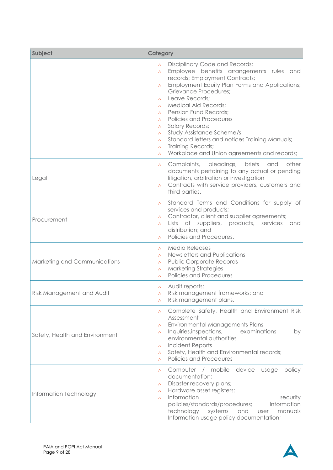| Subject                        | Category                                                                                                                                                                                                                                                                                                                                                                                                                                                                                                                                                                                                                    |
|--------------------------------|-----------------------------------------------------------------------------------------------------------------------------------------------------------------------------------------------------------------------------------------------------------------------------------------------------------------------------------------------------------------------------------------------------------------------------------------------------------------------------------------------------------------------------------------------------------------------------------------------------------------------------|
|                                | Disciplinary Code and Records;<br>$\wedge$<br>Employee benefits arrangements rules and<br>$\wedge$<br>records; Employment Contracts;<br>Employment Equity Plan Forms and Applications;<br>Λ.<br><b>Grievance Procedures;</b><br>Leave Records;<br>$\wedge$<br><b>Medical Aid Records:</b><br>$\wedge$<br><b>Pension Fund Records;</b><br>$\wedge$<br><b>Policies and Procedures</b><br>$\wedge$<br><b>Salary Records;</b><br>Λ.<br>Study Assistance Scheme/s<br>$\wedge$<br>Standard letters and notices Training Manuals;<br>$\wedge$<br>Training Records;<br>$\wedge$<br>Workplace and Union agreements and records;<br>Λ |
| Legal                          | pleadings,<br><b>briefs</b><br>other<br>Complaints,<br>and<br>Λ.<br>documents pertaining to any actual or pending<br>litigation, arbitration or investigation<br>Contracts with service providers, customers and<br>$\wedge$<br>third parties.                                                                                                                                                                                                                                                                                                                                                                              |
| Procurement                    | Standard Terms and Conditions for supply of<br>$\wedge$<br>services and products;<br>Contractor, client and supplier agreements;<br>$\wedge$<br>Lists of suppliers, products, services<br>and<br>$\wedge$<br>distribution; and<br>Policies and Procedures.                                                                                                                                                                                                                                                                                                                                                                  |
| Marketing and Communications   | <b>Media Releases</b><br>$\wedge$<br>Newsletters and Publications<br>$\wedge$<br><b>Public Corporate Records</b><br>Λ.<br><b>Marketing Strategies</b><br>$\wedge$<br><b>Policies and Procedures</b><br>$\wedge$                                                                                                                                                                                                                                                                                                                                                                                                             |
| Risk Management and Audit      | Audit reports;<br>$\wedge$<br>Risk management frameworks; and<br>Λ.<br>Risk management plans.<br>Λ                                                                                                                                                                                                                                                                                                                                                                                                                                                                                                                          |
| Safety, Health and Environment | Complete Safety, Health and Environment Risk<br>Λ.<br>Assessment<br><b>Environmental Managements Plans</b><br>$\wedge$<br>Inquiries, inspections,<br>examinations<br>by<br>Λ.<br>environmental authorities<br>Incident Reports<br>$\wedge$<br>Safety, Health and Environmental records;<br>$\wedge$<br>Policies and Procedures<br>$\wedge$                                                                                                                                                                                                                                                                                  |
| Information Technology         | Computer / mobile<br>device<br>policy<br>usage<br>$\wedge$<br>documentation;<br>Disaster recovery plans;<br>Λ.<br>Hardware asset registers;<br>$\wedge$<br>Information<br>security<br>$\wedge$<br>Information<br>policies/standards/procedures;<br>technology<br>systems<br>manuals<br>and<br>user<br>Information usage policy documentation;                                                                                                                                                                                                                                                                               |

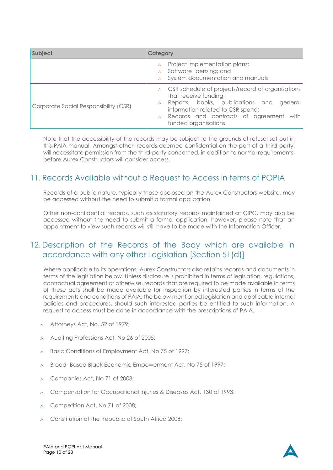| Subject                               | Category                                                                                                                                                                                                                                   |
|---------------------------------------|--------------------------------------------------------------------------------------------------------------------------------------------------------------------------------------------------------------------------------------------|
|                                       | Project implementation plans;<br>$\land$ Software licensing; and<br>$\land$ System documentation and manuals                                                                                                                               |
| Corporate Social Responsibility (CSR) | $\wedge$ CSR schedule of projects/record of organisations<br>that receive funding;<br>A Reports, books, publications and general<br>information related to CSR spend;<br>A Records and contracts of agreement with<br>funded organisations |

Note that the accessibility of the records may be subject to the grounds of refusal set out in this PAIA manual. Amongst other, records deemed confidential on the part of a third-party, will necessitate permission from the third-party concerned, in addition to normal requirements, before Aurex Constructors will consider access.

### <span id="page-9-0"></span>11. Records Available without a Request to Access in terms of POPIA

Records of a public nature, typically those disclosed on the Aurex Constructors website, may be accessed without the need to submit a formal application.

Other non-confidential records, such as statutory records maintained at CIPC, may also be accessed without the need to submit a formal application, however, please note that an appointment to view such records will still have to be made with the Information Officer.

### <span id="page-9-1"></span>12. Description of the Records of the Body which are available in accordance with any other Legislation [Section 51(d)]

Where applicable to its operations, Aurex Constructors also retains records and documents in terms of the legislation below. Unless disclosure is prohibited in terms of legislation, regulations, contractual agreement or otherwise, records that are required to be made available in terms of these acts shall be made available for inspection by interested parties in terms of the requirements and conditions of PAIA; the below mentioned legislation and applicable internal policies and procedures, should such interested parties be entitled to such information. A request to access must be done in accordance with the prescriptions of PAIA.

- Attorneys Act, No. 52 of 1979;
- Auditing Professions Act, No 26 of 2005;
- A Basic Conditions of Employment Act, No 75 of 1997;
- A Broad-Based Black Economic Empowerment Act, No 75 of 1997;
- Companies Act, No 71 of 2008;
- $\land$  Compensation for Occupational Injuries & Diseases Act, 130 of 1993;
- Competition Act, No.71 of 2008;
- $\land$  Constitution of the Republic of South Africa 2008;

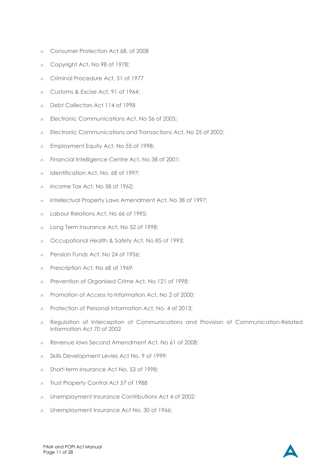- A Consumer Protection Act 68, of 2008
- Copyright Act, No 98 of 1978;
- Criminal Procedure Act, 51 of 1977
- Customs & Excise Act, 91 of 1964;
- Debt Collectors Act 114 of 1998
- $\land$  Electronic Communications Act, No 36 of 2005;
- A Electronic Communications and Transactions Act, No 25 of 2002:
- $\land$  Employment Equity Act, No 55 of 1998;
- A Financial Intelligence Centre Act, No 38 of 2001;
- $\land$  Identification Act, No. 68 of 1997;
- $\land$  Income Tax Act, No 58 of 1962;
- $\land$  Intellectual Property Laws Amendment Act, No 38 of 1997;
- Labour Relations Act, No 66 of 1995;
- $\land$  Long Term Insurance Act, No 52 of 1998;
- $\land$  Occupational Health & Safety Act, No 85 of 1993;
- Pension Funds Act, No 24 of 1956;
- $\land$  Prescription Act, No 68 of 1969;
- Prevention of Organised Crime Act, No 121 of 1998;
- A Promotion of Access to Information Act, No 2 of 2000:
- $\land$  Protection of Personal Information Act, No. 4 of 2013;
- $\land$  Regulation of Interception of Communications and Provision of Communication-Related Information Act 70 of 2002
- Revenue laws Second Amendment Act. No 61 of 2008;
- $\land$  Skills Development Levies Act No. 9 of 1999;
- A Short-term Insurance Act No. 53 of 1998;
- $\land$  Trust Property Control Act 57 of 1988
- $\land$  Unemployment Insurance Contributions Act 4 of 2002;
- $\land$  Unemployment Insurance Act No. 30 of 1966;

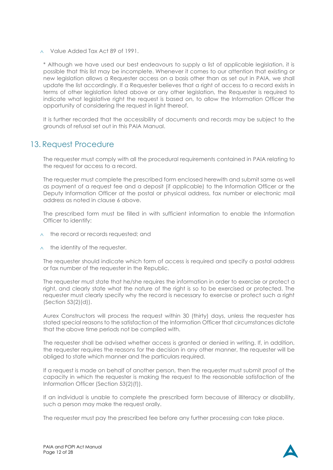Value Added Tax Act 89 of 1991.

\* Although we have used our best endeavours to supply a list of applicable legislation, it is possible that this list may be incomplete. Whenever it comes to our attention that existing or new legislation allows a Requester access on a basis other than as set out in PAIA, we shall update the list accordingly. If a Requester believes that a right of access to a record exists in terms of other legislation listed above or any other legislation, the Requester is required to indicate what legislative right the request is based on, to allow the Information Officer the opportunity of considering the request in light thereof.

It is further recorded that the accessibility of documents and records may be subject to the grounds of refusal set out in this PAIA Manual.

### <span id="page-11-0"></span>13. Request Procedure

The requester must comply with all the procedural requirements contained in PAIA relating to the request for access to a record.

The requester must complete the prescribed form enclosed herewith and submit same as well as payment of a request fee and a deposit (if applicable) to the Information Officer or the Deputy Information Officer at the postal or physical address, fax number or electronic mail address as noted in clause [6](#page-4-2) above.

The prescribed form must be filled in with sufficient information to enable the Information Officer to identify:

- $\land$  the record or records requested; and
- $\wedge$  the identity of the requester.

The requester should indicate which form of access is required and specify a postal address or fax number of the requester in the Republic.

The requester must state that he/she requires the information in order to exercise or protect a right, and clearly state what the nature of the right is so to be exercised or protected. The requester must clearly specify why the record is necessary to exercise or protect such a right (Section 53(2)(d)).

Aurex Constructors will process the request within 30 (thirty) days, unless the requester has stated special reasons to the satisfaction of the Information Officer that circumstances dictate that the above time periods not be complied with.

The requester shall be advised whether access is granted or denied in writing. If, in addition, the requester requires the reasons for the decision in any other manner, the requester will be obliged to state which manner and the particulars required.

If a request is made on behalf of another person, then the requester must submit proof of the capacity in which the requester is making the request to the reasonable satisfaction of the Information Officer (Section 53(2)(f)).

If an individual is unable to complete the prescribed form because of illiteracy or disability, such a person may make the request orally.

The requester must pay the prescribed fee before any further processing can take place.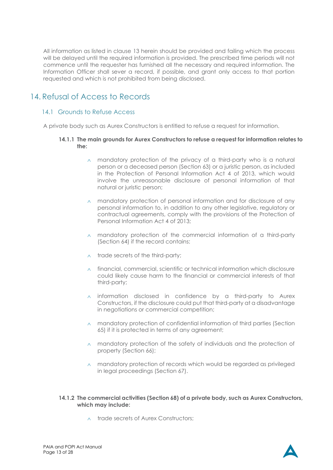All information as listed in clause 13 herein should be provided and failing which the process will be delayed until the require[d info](#page-11-0)rmation is provided. The prescribed time periods will not commence until the requester has furnished all the necessary and required information. The Information Officer shall sever a record, if possible, and grant only access to that portion requested and which is not prohibited from being disclosed.

### <span id="page-12-0"></span>14. Refusal of Access to Records

#### <span id="page-12-1"></span>14.1 Grounds to Refuse Access

<span id="page-12-2"></span>A private body such as Aurex Constructors is entitled to refuse a request for information.

#### **14.1.1 The main grounds for Aurex Constructors to refuse a request for information relates to the:**

- $\land$  mandatory protection of the privacy of a third-party who is a natural person or a deceased person (Section 63) or a juristic person, as included in the Protection of Personal Information Act 4 of 2013, which would involve the unreasonable disclosure of personal information of that natural or juristic person;
- $\land$  mandatory protection of personal information and for disclosure of any personal information to, in addition to any other legislative, regulatory or contractual agreements, comply with the provisions of the Protection of Personal Information Act 4 of 2013;
- $\land$  mandatory protection of the commercial information of a third-party (Section 64) if the record contains:
- $\land$  trade secrets of the third-party;
- $\land$  financial, commercial, scientific or technical information which disclosure could likely cause harm to the financial or commercial interests of that third-party;
- $\land$  information disclosed in confidence by a third-party to Aurex Constructors, if the disclosure could put that third-party at a disadvantage in negotiations or commercial competition;
- $\land$  mandatory protection of confidential information of third parties (Section 65) if it is protected in terms of any agreement;
- $\land$  mandatory protection of the safety of individuals and the protection of property (Section 66);
- $\land$  mandatory protection of records which would be regarded as privileged in legal proceedings (Section 67).

#### <span id="page-12-3"></span>**14.1.2 The commercial activities (Section 68) of a private body, such as Aurex Constructors, which may include:**

 $\land$  trade secrets of Aurex Constructors;

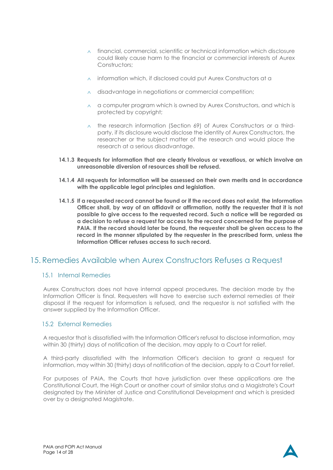- $\wedge$  financial, commercial, scientific or technical information which disclosure could likely cause harm to the financial or commercial interests of Aurex Constructors;
- $\land$  information which, if disclosed could put Aurex Constructors at a
- $\land$  disadvantage in negotiations or commercial competition;
- $\land$  a computer program which is owned by Aurex Constructors, and which is protected by copyright;
- $\land$  the research information (Section 69) of Aurex Constructors or a thirdparty, if its disclosure would disclose the identity of Aurex Constructors, the researcher or the subject matter of the research and would place the research at a serious disadvantage.
- <span id="page-13-0"></span>**14.1.3 Requests for information that are clearly frivolous or vexatious, or which involve an unreasonable diversion of resources shall be refused.**
- <span id="page-13-1"></span>**14.1.4 All requests for information will be assessed on their own merits and in accordance with the applicable legal principles and legislation.**
- <span id="page-13-2"></span>**14.1.5 If a requested record cannot be found or if the record does not exist, the Information Officer shall, by way of an affidavit or affirmation, notify the requester that it is not possible to give access to the requested record. Such a notice will be regarded as a decision to refuse a request for access to the record concerned for the purpose of PAIA. If the record should later be found, the requester shall be given access to the record in the manner stipulated by the requester in the prescribed form, unless the Information Officer refuses access to such record.**

### <span id="page-13-3"></span>15. Remedies Available when Aurex Constructors Refuses a Request

#### <span id="page-13-4"></span>15.1 Internal Remedies

Aurex Constructors does not have internal appeal procedures. The decision made by the Information Officer is final. Requesters will have to exercise such external remedies at their disposal if the request for information is refused, and the requestor is not satisfied with the answer supplied by the Information Officer.

#### <span id="page-13-5"></span>15.2 External Remedies

A requestor that is dissatisfied with the Information Officer's refusal to disclose information, may within 30 (thirty) days of notification of the decision, may apply to a Court for relief.

A third-party dissatisfied with the Information Officer's decision to grant a request for information, may within 30 (thirty) days of notification of the decision, apply to a Court for relief.

For purposes of PAIA, the Courts that have jurisdiction over these applications are the Constitutional Court, the High Court or another court of similar status and a Magistrate's Court designated by the Minister of Justice and Constitutional Development and which is presided over by a designated Magistrate.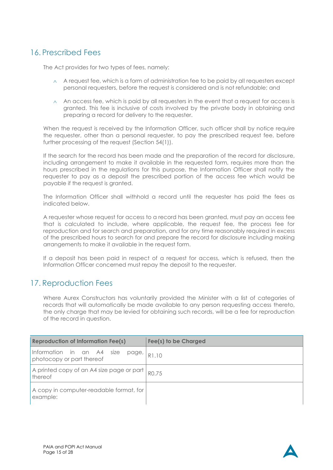### <span id="page-14-0"></span>16. Prescribed Fees

The Act provides for two types of fees, namely:

- $\wedge$  A request fee, which is a form of administration fee to be paid by al! requesters except personal requesters, before the request is considered and is not refundable; and
- $\land$  An access fee, which is paid by all requesters in the event that a request for access is granted. This fee is inclusive of costs involved by the private body in obtaining and preparing a record for delivery to the requester.

When the request is received by the Information Officer, such officer shall by notice require the requester, other than a personal requester, to pay the prescribed request fee, before further processing of the request (Section 54(1)).

If the search for the record has been made and the preparation of the record for disclosure, including arrangement to make it available in the requested form, requires more than the hours prescribed in the regulations for this purpose, the Information Officer shall notify the requester to pay as a deposit the prescribed portion of the access fee which would be payable if the request is granted.

The Information Officer shall withhold a record until the requester has paid the fees as indicated below.

A requester whose request for access to a record has been granted, must pay an access fee that is calculated to include, where applicable, the request fee, the process fee for reproduction and for search and preparation, and for any time reasonably required in excess of the prescribed hours to search for and prepare the record for disclosure including making arrangements to make it available in the request form.

If a deposit has been paid in respect of a request for access, which is refused, then the Information Officer concerned must repay the deposit to the requester.

### <span id="page-14-1"></span>17. Reproduction Fees

Where Aurex Constructors has voluntarily provided the Minister with a list of categories of records that will automatically be made available to any person requesting access thereto, the only charge that may be levied for obtaining such records, will be a fee for reproduction of the record in question.

| <b>Reproduction of Information Fee(s)</b>                                  | Fee(s) to be Charged |
|----------------------------------------------------------------------------|----------------------|
| Information in an A4 size<br>page,<br>photocopy or part thereof            | R1.10                |
| A printed copy of an A4 size page or part $\mid_{\text{RO},75}$<br>thereof |                      |
| A copy in computer-readable format, for<br>example:                        |                      |

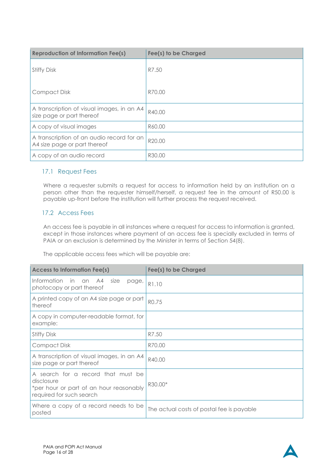| <b>Reproduction of Information Fee(s)</b>                                 | Fee(s) to be Charged |
|---------------------------------------------------------------------------|----------------------|
| <b>Stiffy Disk</b>                                                        | R7.50                |
| Compact Disk                                                              | R70.00               |
| A transcription of visual images, in an A4<br>size page or part thereof   | R40.00               |
| A copy of visual images                                                   | R60.00               |
| A transcription of an audio record for an<br>A4 size page or part thereof | R20.00               |
| A copy of an audio record                                                 | R30.00               |

#### <span id="page-15-0"></span>17.1 Request Fees

Where a requester submits a request for access to information held by an institution on a person other than the requester himself/herself, a request fee in the amount of R50.00 is payable up-front before the institution will further process the request received.

### <span id="page-15-1"></span>17.2 Access Fees

An access fee is payable in all instances where a request for access to information is granted, except in those instances where payment of an access fee is specially excluded in terms of PAIA or an exclusion is determined by the Minister in terms of Section 54(8).

The applicable access fees which will be payable are:

| <b>Access to Information Fee(s)</b>                                                                                     | Fee(s) to be Charged                      |
|-------------------------------------------------------------------------------------------------------------------------|-------------------------------------------|
| Information<br>in.<br>A4<br>size<br>an<br>page,<br>photocopy or part thereof                                            | R1.10                                     |
| A printed copy of an A4 size page or part<br>thereof                                                                    | RO.75                                     |
| A copy in computer-readable format, for<br>example:                                                                     |                                           |
| <b>Stiffy Disk</b>                                                                                                      | R7.50                                     |
| <b>Compact Disk</b>                                                                                                     | R70.00                                    |
| A transcription of visual images, in an A4<br>size page or part thereof                                                 | R40.00                                    |
| A search for a record that must be<br>disclosure<br>*per hour or part of an hour reasonably<br>required for such search | R30.00*                                   |
| Where a copy of a record needs to be<br>posted                                                                          | The actual costs of postal fee is payable |

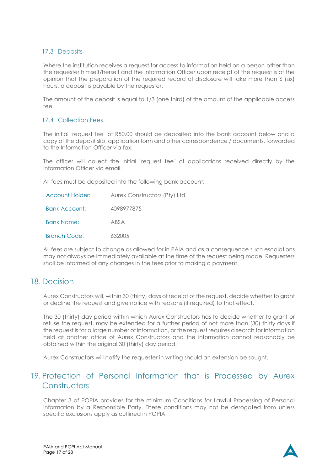#### <span id="page-16-0"></span>17.3 Deposits

Where the institution receives a request for access to information held on a person other than the requester himself/herself and the Information Officer upon receipt of the request is of the opinion that the preparation of the required record of disclosure will take more than 6 (six) hours, a deposit is payable by the requester.

The amount of the deposit is equal to 1/3 (one third) of the amount of the applicable access fee.

#### <span id="page-16-1"></span>17.4 Collection Fees

The initial "request fee" of R50.00 should be deposited into the bank account below and a copy of the deposit slip, application form and other correspondence / documents, forwarded to the Information Officer via fax.

The officer will collect the initial "request fee" of applications received directly by the Information Officer via email.

All fees must be deposited into the following bank account:

| Account Holder:      | Aurex Constructors (Pty) Ltd |
|----------------------|------------------------------|
| <b>Bank Account:</b> | 4098977875                   |
| <b>Bank Name:</b>    | ABSA                         |
| <b>Branch Code:</b>  | 632005                       |

All fees are subject to change as allowed for in PAIA and as a consequence such escalations may not always be immediately available at the time of the request being made. Requesters shall be informed of any changes in the fees prior to making a payment.

### <span id="page-16-2"></span>18. Decision

Aurex Constructors will, within 30 (thirty) days of receipt of the request, decide whether to grant or decline the request and give notice with reasons (if required) to that effect.

The 30 (thirty) day period within which Aurex Constructors has to decide whether to grant or refuse the request, may be extended for a further period of not more than (30) thirty days if the request is for a large number of information, or the request requires a search for information held at another office of Aurex Constructors and the information cannot reasonably be obtained within the original 30 (thirty) day period.

Aurex Constructors will notify the requester in writing should an extension be sought.

### <span id="page-16-3"></span>19. Protection of Personal Information that is Processed by Aurex **Constructors**

Chapter 3 of POPIA provides for the minimum Conditions for Lawful Processing of Personal Information by a Responsible Party. These conditions may not be derogated from unless specific exclusions apply as outlined in POPIA.

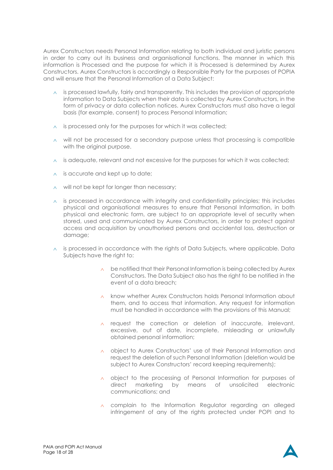Aurex Constructors needs Personal Information relating to both individual and juristic persons in order to carry out its business and organisational functions. The manner in which this information is Processed and the purpose for which it is Processed is determined by Aurex Constructors. Aurex Constructors is accordingly a Responsible Party for the purposes of POPIA and will ensure that the Personal Information of a Data Subject:

- $\land$  is processed lawfully, fairly and transparently. This includes the provision of appropriate information to Data Subjects when their data is collected by Aurex Constructors, in the form of privacy or data collection notices. Aurex Constructors must also have a legal basis (for example, consent) to process Personal Information;
- $\land$  is processed only for the purposes for which it was collected;
- $\land$  will not be processed for a secondary purpose unless that processing is compatible with the original purpose.
- $\land$  is adequate, relevant and not excessive for the purposes for which it was collected;
- $\land$  is accurate and kept up to date;
- $\land$  will not be kept for longer than necessary;
- $\land$  is processed in accordance with integrity and confidentiality principles; this includes physical and organisational measures to ensure that Personal Information, in both physical and electronic form, are subject to an appropriate level of security when stored, used and communicated by Aurex Constructors, in order to protect against access and acquisition by unauthorised persons and accidental loss, destruction or damage;
- $\land$  is processed in accordance with the rights of Data Subjects, where applicable. Data Subjects have the right to:
	- $\land$  be notified that their Personal Information is being collected by Aurex Constructors. The Data Subject also has the right to be notified in the event of a data breach;
	- $\lambda$  know whether Aurex Constructors holds Personal Information about them, and to access that information. Any request for information must be handled in accordance with the provisions of this Manual;
	- $\land$  request the correction or deletion of inaccurate, irrelevant, excessive, out of date, incomplete, misleading or unlawfully obtained personal information;
	- object to Aurex Constructors' use of their Personal Information and request the deletion of such Personal Information (deletion would be subject to Aurex Constructors' record keeping requirements);
	- $\land$  object to the processing of Personal Information for purposes of direct marketing by means of unsolicited electronic communications; and
	- $\land$  complain to the Information Regulator regarding an alleged infringement of any of the rights protected under POPI and to

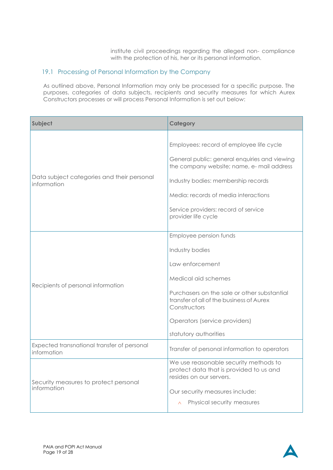institute civil proceedings regarding the alleged non- compliance with the protection of his, her or its personal information.

#### <span id="page-18-0"></span>19.1 Processing of Personal Information by the Company

As outlined above, Personal Information may only be processed for a specific purpose. The purposes, categories of data subjects, recipients and security measures for which Aurex Constructors processes or will process Personal Information is set out below:

| Subject                                                    | <b>Category</b>                                                                                                                                                                                                                                                                       |  |  |  |  |  |  |
|------------------------------------------------------------|---------------------------------------------------------------------------------------------------------------------------------------------------------------------------------------------------------------------------------------------------------------------------------------|--|--|--|--|--|--|
| Data subject categories and their personal<br>information  | Employees: record of employee life cycle<br>General public: general enquiries and viewing<br>the company website; name, e- mail address<br>Industry bodies: membership records<br>Media: records of media interactions<br>Service providers: record of service<br>provider life cycle |  |  |  |  |  |  |
| Recipients of personal information                         | Employee pension funds<br>Industry bodies<br>Law enforcement<br>Medical aid schemes<br>Purchasers on the sale or other substantial<br>transfer of all of the business of Aurex<br>Constructors<br>Operators (service providers)<br>statutory authorities                              |  |  |  |  |  |  |
| Expected transnational transfer of personal<br>information | Transfer of personal information to operators                                                                                                                                                                                                                                         |  |  |  |  |  |  |
| Security measures to protect personal<br>information       | We use reasonable security methods to<br>protect data that is provided to us and<br>resides on our servers.<br>Our security measures include:<br>Physical security measures<br>$\wedge$                                                                                               |  |  |  |  |  |  |

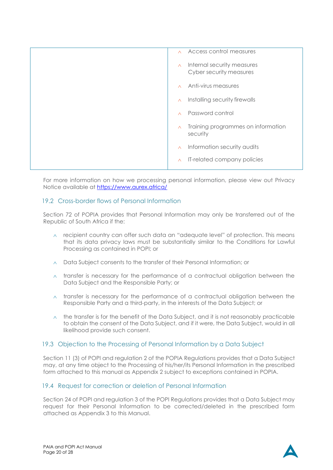| Access control measures<br>$\wedge$                               |
|-------------------------------------------------------------------|
| Internal security measures<br>$\wedge$<br>Cyber security measures |
| Anti-virus measures<br>$\wedge$                                   |
| Installing security firewalls<br>$\wedge$                         |
| Password control<br>$\wedge$                                      |
| Training programmes on information<br>$\wedge$<br>security        |
| Information security audits<br>$\wedge$                           |
| IT-related company policies<br>$\wedge$                           |
|                                                                   |

For more information on how we processing personal information, please view out Privacy Notice available at<https://www.aurex.africa/>

#### <span id="page-19-0"></span>19.2 Cross-border flows of Personal Information

Section 72 of POPIA provides that Personal Information may only be transferred out of the Republic of South Africa if the:

- $\land$  recipient country can offer such data an "adequate level" of protection. This means that its data privacy laws must be substantially similar to the Conditions for Lawful Processing as contained in POPI; or
- $\land$  Data Subject consents to the transfer of their Personal Information; or
- $\land$  transfer is necessary for the performance of a contractual obligation between the Data Subject and the Responsible Party; or
- $\land$  transfer is necessary for the performance of a contractual obligation between the Responsible Party and a third-party, in the interests of the Data Subject; or
- $\land$  the transfer is for the benefit of the Data Subject, and it is not reasonably practicable to obtain the consent of the Data Subject, and if it were, the Data Subject, would in all likelihood provide such consent.

#### <span id="page-19-1"></span>19.3 Objection to the Processing of Personal Information by a Data Subject

Section 11 (3) of POPI and regulation 2 of the POPIA Regulations provides that a Data Subject may, at any time object to the Processing of his/her/its Personal Information in the prescribed form attached to this manual as Appendix 2 subject to exceptions contained in POPIA.

#### <span id="page-19-2"></span>19.4 Request for correction or deletion of Personal Information

Section 24 of POPI and regulation 3 of the POPI Regulations provides that a Data Subject may request for their Personal Information to be corrected/deleted in the prescribed form attached as Appendix 3 to this Manual.

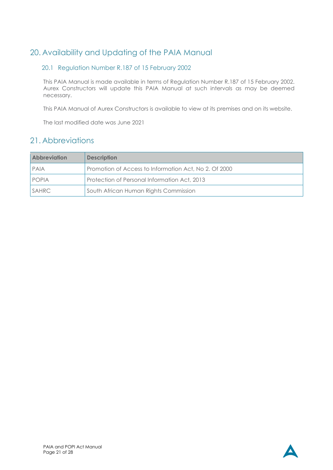### <span id="page-20-0"></span>20. Availability and Updating of the PAIA Manual

### <span id="page-20-1"></span>20.1 Regulation Number R.187 of 15 February 2002

This PAIA Manual is made available in terms of Regulation Number R.187 of 15 February 2002. Aurex Constructors will update this PAIA Manual at such intervals as may be deemed necessary.

This PAIA Manual of Aurex Constructors is available to view at its premises and on its website.

The last modified date was June 2021

### <span id="page-20-2"></span>21. Abbreviations

| <b>Abbrevigtion</b> | <b>Description</b>                                    |
|---------------------|-------------------------------------------------------|
| PAIA                | Promotion of Access to Information Act, No 2. Of 2000 |
| <b>POPIA</b>        | Protection of Personal Information Act, 2013          |
| <b>SAHRC</b>        | South African Human Rights Commission                 |

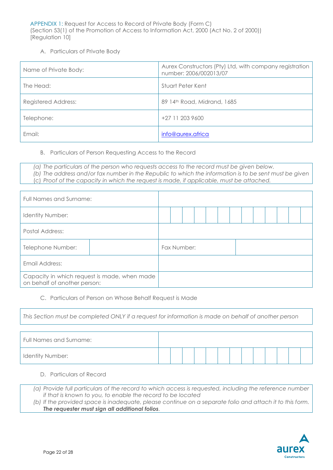APPENDIX 1: Request for Access to Record of Private Body (Form C) (Section 53(1) of the Promotion of Access to Information Act, 2000 (Act No. 2 of 2000)) [Regulation 10]

#### A. Particulars of Private Body

| Name of Private Body:      | Aurex Constructors (Pty) Ltd, with company registration  <br>number: 2006/002013/07 |
|----------------------------|-------------------------------------------------------------------------------------|
| The Head:                  | Stuart Peter Kent                                                                   |
| <b>Registered Address:</b> | 89 14th Road, Midrand, 1685                                                         |
| Telephone:                 | +27 11 203 9600                                                                     |
| Email:                     | info@aurex.africa                                                                   |

#### B. Particulars of Person Requesting Access to the Record

*(a) The particulars of the person who requests access to the record must be given below. (b) The address and/or fax number in the Republic to which the information is to be sent must be given* (c) *Proof of the capacity in which the request is made, if applicable, must be attached.*

| Full Names and Surname:                                                      |  |             |  |  |  |  |  |  |
|------------------------------------------------------------------------------|--|-------------|--|--|--|--|--|--|
| <b>Identity Number:</b>                                                      |  |             |  |  |  |  |  |  |
| Postal Address:                                                              |  |             |  |  |  |  |  |  |
| Telephone Number:                                                            |  | Fax Number: |  |  |  |  |  |  |
| Email Address:                                                               |  |             |  |  |  |  |  |  |
| Capacity in which request is made, when made<br>on behalf of another person: |  |             |  |  |  |  |  |  |

#### C. Particulars of Person on Whose Behalf Request is Made

*This Section must be completed ONLY if a request for information is made on behalf of another person*

| Full Names and Surname: |  |  |  |  |  |  |  |
|-------------------------|--|--|--|--|--|--|--|
| Identity Number:        |  |  |  |  |  |  |  |

#### D. Particulars of Record

*(a) Provide full particulars of the record to which access is requested, including the reference number if that is known to you, to enable the record to be located*

*(b) If the provided space is inadequate, please continue on a separate folio and attach it to this form. The requester must sign all additional folios.*

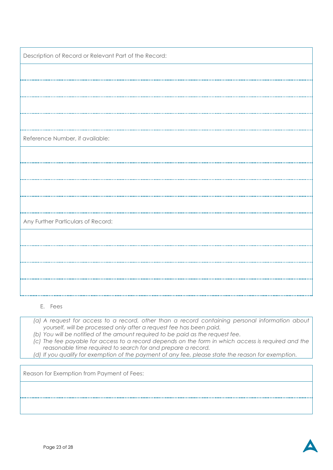| Description of Record or Relevant Part of the Record: |
|-------------------------------------------------------|
|                                                       |
|                                                       |
|                                                       |
|                                                       |
| Reference Number, if available:                       |
|                                                       |
|                                                       |
|                                                       |
|                                                       |
| Any Further Particulars of Record:                    |
|                                                       |
|                                                       |
|                                                       |
|                                                       |
|                                                       |

E. Fees

- *(a) A request for access to a record, other than a record containing personal information about yourself, will be processed only after a request fee has been paid.*
- *(b) You will be notified of the amount required to be paid as the request fee.*
- *(c) The fee payable for access to a record depends on the form in which access is required and the reasonable time required to search for and prepare a record.*
- *(d) If you qualify for exemption of the payment of any fee, please state the reason for exemption.*

Reason for Exemption from Payment of Fees:

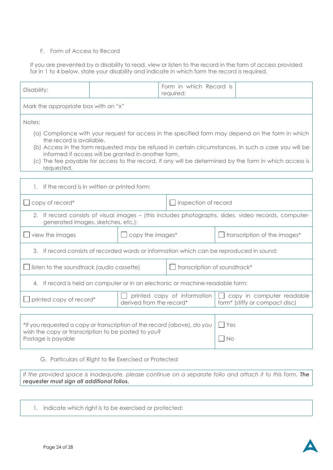#### F. Form of Access to Record

If you are prevented by a disability to read, view or listen to the record in the form of access provided for in 1 to 4 below, state your disability and indicate in which form the record is required.

| Disability:                                                                                                                                                                                                                                                                                                                                                                                                          |                                                                                                                                                               | Form in which Record is<br>required: |                              |  |                                     |  |  |  |
|----------------------------------------------------------------------------------------------------------------------------------------------------------------------------------------------------------------------------------------------------------------------------------------------------------------------------------------------------------------------------------------------------------------------|---------------------------------------------------------------------------------------------------------------------------------------------------------------|--------------------------------------|------------------------------|--|-------------------------------------|--|--|--|
| Mark the appropriate box with an "x"                                                                                                                                                                                                                                                                                                                                                                                 |                                                                                                                                                               |                                      |                              |  |                                     |  |  |  |
| Notes:                                                                                                                                                                                                                                                                                                                                                                                                               |                                                                                                                                                               |                                      |                              |  |                                     |  |  |  |
| (a) Compliance with your request for access in the specified form may depend on the form in which<br>the record is available.<br>(b) Access in the form requested may be refused in certain circumstances. In such a case you will be<br>informed if access will be granted in another form.<br>(c) The fee payable for access to the record, if any will be determined by the form in which access is<br>requested. |                                                                                                                                                               |                                      |                              |  |                                     |  |  |  |
| 1. If the record is in written or printed form:                                                                                                                                                                                                                                                                                                                                                                      |                                                                                                                                                               |                                      |                              |  |                                     |  |  |  |
| copy of record*<br>inspection of record                                                                                                                                                                                                                                                                                                                                                                              |                                                                                                                                                               |                                      |                              |  |                                     |  |  |  |
| 2. If record consists of visual images - (this includes photographs, slides, video records, computer-<br>generated images, sketches, etc.):                                                                                                                                                                                                                                                                          |                                                                                                                                                               |                                      |                              |  |                                     |  |  |  |
| view the images                                                                                                                                                                                                                                                                                                                                                                                                      |                                                                                                                                                               | copy the images*                     |                              |  | $\Box$ transcription of the images* |  |  |  |
| 3. If record consists of recorded words or information which can be reproduced in sound:                                                                                                                                                                                                                                                                                                                             |                                                                                                                                                               |                                      |                              |  |                                     |  |  |  |
| listen to the soundtrack (audio cassette)                                                                                                                                                                                                                                                                                                                                                                            |                                                                                                                                                               |                                      | transcription of soundtrack* |  |                                     |  |  |  |
| 4. If record is held on computer or in an electronic or machine-readable form:                                                                                                                                                                                                                                                                                                                                       |                                                                                                                                                               |                                      |                              |  |                                     |  |  |  |
|                                                                                                                                                                                                                                                                                                                                                                                                                      | printed copy of information<br>copy in computer readable<br>printed copy of record*<br>derived from the record*<br>form <sup>*</sup> (stiffy or compact disc) |                                      |                              |  |                                     |  |  |  |
| *If you requested a copy or transcription of the record (above), do you<br>$ $ Yes<br>wish the copy or transcription to be posted to you?<br>$\overline{\phantom{1}}$ No<br>Postage is payable                                                                                                                                                                                                                       |                                                                                                                                                               |                                      |                              |  |                                     |  |  |  |
| G. Particulars of Right to Be Exercised or Protected                                                                                                                                                                                                                                                                                                                                                                 |                                                                                                                                                               |                                      |                              |  |                                     |  |  |  |
| If the provided space is inadequate, please continue on a separate folio and attach it to this form. The<br>requester must sign all additional folios.                                                                                                                                                                                                                                                               |                                                                                                                                                               |                                      |                              |  |                                     |  |  |  |

1. Indicate which right is to be exercised or protected: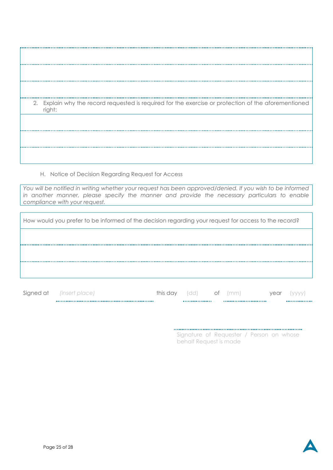|  | 2. Explain why the record requested is required for the exercise or protection of the aforementioned<br>right: |
|--|----------------------------------------------------------------------------------------------------------------|
|  |                                                                                                                |
|  |                                                                                                                |
|  |                                                                                                                |

H. Notice of Decision Regarding Request for Access

*You will be notified in writing whether your request has been approved/denied. If you wish to be informed*  in another manner, please specify the manner and provide the necessary particulars to enable *compliance with your request.*

| How would you prefer to be informed of the decision regarding your request for access to the record? |
|------------------------------------------------------------------------------------------------------|
|                                                                                                      |
|                                                                                                      |
|                                                                                                      |
|                                                                                                      |

| Signed | <i>consert pl</i><br>، د — ۲۰۱۲ ت | this day | $\sim$<br>uu | UI | mann | /ear |  |
|--------|-----------------------------------|----------|--------------|----|------|------|--|
|        |                                   |          |              |    |      |      |  |

Signature of Requester / Person on whose behalf Request is made

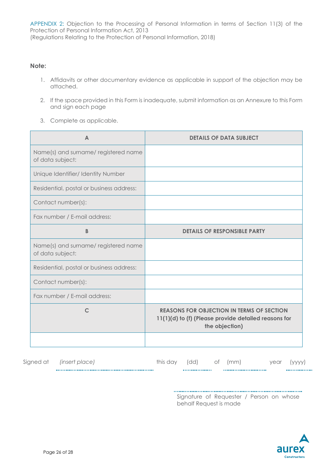APPENDIX 2: Objection to the Processing of Personal Information in terms of Section 11(3) of the Protection of Personal Information Act, 2013 (Regulations Relating to the Protection of Personal Information, 2018)

#### **Note:**

- 1. Affidavits or other documentary evidence as applicable in support of the objection may be attached.
- 2. If the space provided in this Form is inadequate, submit information as an Annexure to this Form and sign each page
- 3. Complete as applicable.

| A                                                       | <b>DETAILS OF DATA SUBJECT</b>                                                                                             |
|---------------------------------------------------------|----------------------------------------------------------------------------------------------------------------------------|
| Name(s) and surname/registered name<br>of data subject: |                                                                                                                            |
| Unique Identifier/ Identity Number                      |                                                                                                                            |
| Residential, postal or business address:                |                                                                                                                            |
| Contact number(s):                                      |                                                                                                                            |
| Fax number / E-mail address:                            |                                                                                                                            |
| B                                                       | <b>DETAILS OF RESPONSIBLE PARTY</b>                                                                                        |
| Name(s) and surname/registered name<br>of data subject: |                                                                                                                            |
| Residential, postal or business address:                |                                                                                                                            |
| Contact number(s):                                      |                                                                                                                            |
| Fax number / E-mail address:                            |                                                                                                                            |
| $\mathsf{C}$                                            | <b>REASONS FOR OBJECTION IN TERMS OF SECTION</b><br>11(1)(d) to (f) (Please provide detailed reasons for<br>the objection) |
|                                                         |                                                                                                                            |

|           |                |      |     |    |    |      | . |
|-----------|----------------|------|-----|----|----|------|---|
| Signed at | (insert place) | this | 'dd | Οİ | mm | year |   |

Signature of Requester / Person on whose behalf Request is made

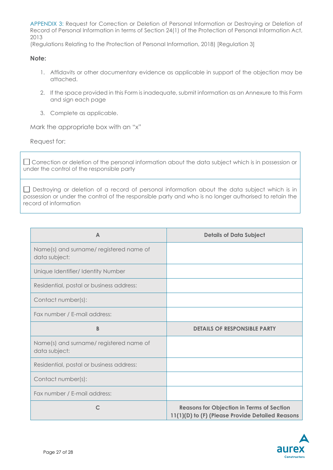APPENDIX 3: Request for Correction or Deletion of Personal Information or Destroying or Deletion of Record of Personal Information in terms of Section 24(1) of the Protection of Personal Information Act, 2013

(Regulations Relating to the Protection of Personal Information, 2018) [Regulation 3]

#### **Note:**

- 1. Affidavits or other documentary evidence as applicable in support of the objection may be attached.
- 2. If the space provided in this Form is inadequate, submit information as an Annexure to this Form and sign each page
- 3. Complete as applicable.

Mark the appropriate box with an "x"

Request for:

Correction or deletion of the personal information about the data subject which is in possession or under the control of the responsible party

Destroying or deletion of a record of personal information about the data subject which is in possession or under the control of the responsible party and who is no longer authorised to retain the record of information

| $\triangle$                                             | <b>Details of Data Subject</b>                                                                       |
|---------------------------------------------------------|------------------------------------------------------------------------------------------------------|
| Name(s) and surname/registered name of<br>data subject: |                                                                                                      |
| Unique Identifier/ Identity Number                      |                                                                                                      |
| Residential, postal or business address:                |                                                                                                      |
| Contact number(s):                                      |                                                                                                      |
| Fax number / E-mail address:                            |                                                                                                      |
| B                                                       | <b>DETAILS OF RESPONSIBLE PARTY</b>                                                                  |
| Name(s) and surname/registered name of<br>data subject: |                                                                                                      |
| Residential, postal or business address:                |                                                                                                      |
| Contact number(s):                                      |                                                                                                      |
| Fax number / E-mail address:                            |                                                                                                      |
| $\mathsf{C}$                                            | <b>Reasons for Objection in Terms of Section</b><br>11(1)(D) to (F) (Please Provide Detailed Reasons |